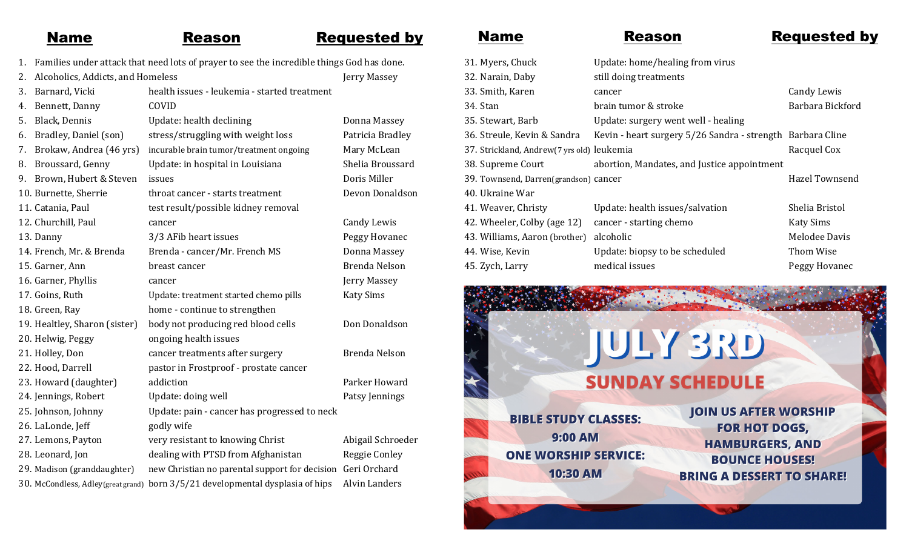## Name Reason Requested by

- 1. Families under attack that need lots of prayer to see the incredible things God has done.
- 2. Alcoholics, Addicts, and Homeless Jerry Massey 3. Barnard, Vicki health issues - leukemia - started treatment Bennett, Danny COVID 5. Black, Dennis Chemical Update: health declining the Comman Massey 6. Bradley, Daniel (son) stress/struggling with weight loss Patricia Bradley 7. Brokaw, Andrea (46 yrs) incurable brain tumor/treatment ongoing Mary McLean 8. Broussard, Genny Update: in hospital in Louisiana Shelia Broussard 9. Brown, Hubert & Steven issues Doris Miller 10. Burnette, Sherrie throat cancer - starts treatment Devon Donaldson 11. Catania, Paul test result/possible kidney removal 12. Churchill, Paul cancer Candy Lewis Candy Lewis 13. Danny 3/3 AFib heart issues Peggy Hovanec 14. French, Mr. & Brenda Brenda - cancer/Mr. French MS Donna Massey 15. Garner, Ann breast cancer annual breast cancer annual Brenda Nelson 16. Garner, Phyllis Cancer Contract Control of the Gerry Massey 17. Goins, Ruth Update: treatment started chemo pills Katy Sims 18. Green, Ray home - continue to strengthen 19. Healtley, Sharon (sister) body not producing red blood cells Don Donaldson 20. Helwig, Peggy ongoing health issues 21. Holley, Don cancer treatments after surgery Brenda Nelson 22. Hood, Darrell pastor in Frostproof - prostate cancer 23. Howard (daughter) addiction and example and parker Howard 24. Jennings, Robert Update: doing well **Patsy Jennings** 25. Johnson, Johnny Update: pain - cancer has progressed to neck 26. LaLonde, Jeff godly wife 27. Lemons, Payton very resistant to knowing Christ Abigail Schroeder 28. Leonard, Jon dealing with PTSD from Afghanistan Reggie Conley 29. Madison (granddaughter) new Christian no parental support for decision Geri Orchard 30. McCondless, Adley(great grand) born 3/5/21 developmental dysplasia of hips Alvin Landers

 $40.$ 

## Name Reason Requested by

| 31. Myers, Chuck                           | Update: home/healing from virus                            |                    |
|--------------------------------------------|------------------------------------------------------------|--------------------|
| 32. Narain, Daby                           | still doing treatments                                     |                    |
| 33. Smith, Karen                           | cancer                                                     | <b>Candy Lewis</b> |
| 34. Stan                                   | brain tumor & stroke                                       | Barbara Bickford   |
| 35. Stewart, Barb                          | Update: surgery went well - healing                        |                    |
| 36. Streule, Kevin & Sandra                | Kevin - heart surgery 5/26 Sandra - strength Barbara Cline |                    |
| 37. Strickland, Andrew(7 yrs old) leukemia |                                                            | Racquel Cox        |
| 38. Supreme Court                          | abortion, Mandates, and Justice appointment                |                    |
| 39. Townsend, Darren(grandson) cancer      |                                                            | Hazel Townsend     |
| 40. Ukraine War                            |                                                            |                    |
| 41. Weaver, Christy                        | Update: health issues/salvation                            | Shelia Bristol     |
| 42. Wheeler, Colby (age 12)                | cancer - starting chemo                                    | <b>Katy Sims</b>   |
| 43. Williams, Aaron (brother)              | alcoholic                                                  | Melodee Davis      |
| 44. Wise, Kevin                            | Update: biopsy to be scheduled                             | Thom Wise          |
| 45. Zych, Larry                            | medical issues                                             | Peggy Hovanec      |